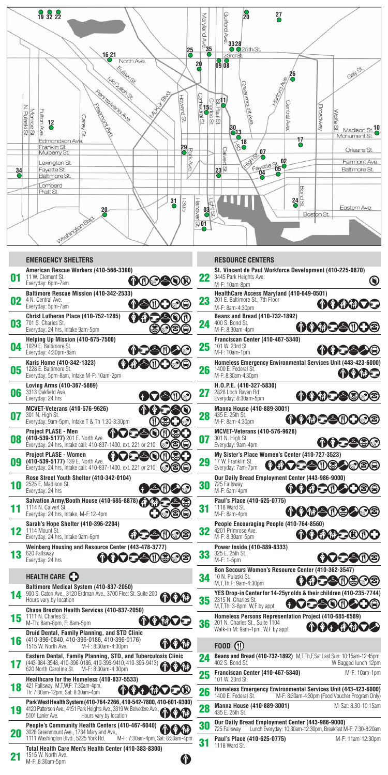

## **Emergency Shelters**

| 01 | American Rescue Workers (410-566-3300)<br>11 W. Clement St.<br><b>nooe</b><br>Everyday: 6pm-7am                                                                                          |
|----|------------------------------------------------------------------------------------------------------------------------------------------------------------------------------------------|
| 02 | Baltimore Rescue Mission (410-342-2533)<br>4 N. Central Ave.<br>ጥ∠⊵<br><b>SATITLE</b><br>ω.<br>Everyday: 5pm-7am                                                                         |
| 03 | Christ Lutheran Place (410-752-1285)<br>MAE<br>701 S. Charles St.<br>Everyday: 24 hrs, Intake 9am-5pm                                                                                    |
| 04 | <b>Helping Up Mission (410-675-7500)</b><br>1029 E. Baltimore St.<br><b>A</b> (1)<br>Everyday: 4:30pm-8am                                                                                |
| 05 | Karis Home (410-342-1323)<br><b>OGESOE</b><br>1228 E. Baltimore St.<br>Everyday: 5pm-8am, Intake M-F: 10am-2pm                                                                           |
| 06 | Loving Arms (410-367-5869)<br>3313 Oakfield Ave.<br>Everyday: 24 hrs                                                                                                                     |
| 07 | <b>MCVET-Veterans (410-576-9626)</b><br>301 N. High St.<br>Everyday: 9am-5pm, Intake T & Th 1:30-3:30pm                                                                                  |
| 08 | <b>Project PLASE - Men</b><br>(410-539-5177) 201 E. North Ave.<br>Everyday: 24 hrs, Intake call: 410-837-1400, ext. 221 or 210<br>œ.                                                     |
| 09 | Project PLASE - Women<br>MOG<br>G<br>Œ<br>(410-539-5177) 139 E. North Ave.<br>Everyday: 24 hrs, Intake call: 410-837-1400, ext. 221 or 210                                               |
| 10 | Rose Street Youth Shelter (410-342-0104)<br>2525 E. Madison St.<br>Everyday: 24 hrs                                                                                                      |
| 11 | Salvation Army/Booth House (410-685-8878)<br>1114 N. Calvert St.<br>Everyday: 24 hrs, Intake, M-F:12-4pm                                                                                 |
| 12 | Sarah's Hope Shelter (410-396-2204)<br>1114 Mount St.<br>CIV<br>ω.<br>Everyday: 24 hrs, Intake 9am-6pm                                                                                   |
| 13 | Weinberg Housing and Resource Center (443-478-3777)<br>620 Fallsway<br><b>MADEAN®</b><br>Everyday: 24 hrs                                                                                |
|    | HEALTH CARE <sup>1</sup>                                                                                                                                                                 |
| Д  | Baltimore Medical System (410-837-2050)<br>900 S. Caton Ave., 3120 Erdman Ave., 3700 Fleet St. Suite 200<br>Hours vary by location                                                       |
| 15 | <b>Chase Brexton Health Services (410-837-2050)</b><br>1111 N. Charles St.<br>かひゆつこ<br>M-Th: 8am-8pm, F: 8am-5pm                                                                         |
| 16 | Druid Dental, Family Planning, and STD Clinic<br>(410-396-0840, 410-396-0186, 410-396-0176)<br>1515 W. North Ave.<br>M-F: 8:30am-4:30pm                                                  |
| '' | Eastern Dental, Family Planning, STD, and Tuberculosis Clinic<br>(443-984-3548, 410-396-0186, 410-396-9410, 410-396-9413)<br>620 North Caroline St.<br>M-F: 8:30am-4:30pm                |
| 18 | Healthcare for the Homeless (410-837-5533)<br>421 Fallsway M,T,W,F: 7:30am-4pm,<br>aog<br><b>KEN</b><br>'e J(K<br>Th: 7:30am-12pm, Sat: 8:30am-4pm                                       |
| 19 | Park West Health System (410-764-2266, 410-542-7800, 410-601-9300)<br>4120 Patterson Ave., 4151 Park Heights Ave., 3319 W. Belvedere Ave.,<br>5101 Lanier Ave.<br>Hours vary by location |
| 20 | People's Community Health Centers (410-467-6040)<br>3028 Greenmount Ave., 1734 Maryland Ave.,<br>1111 Washington Blvd., 5225 York Rd.<br>M-F: 7:30am-4pm, Sat: 8:30am-4pm                |
| 21 | Total Health Care Men's Health Center (410-383-8300)<br>1515 W. North Ave.<br>T<br>M-F: 8:30am-5pm                                                                                       |

|    | <b>RESOURCE CENTERS</b>                                                                                                         |                                                |
|----|---------------------------------------------------------------------------------------------------------------------------------|------------------------------------------------|
| 22 | St. Vincent de Paul Workforce Development (410-225-0870)<br>3445 Park Heights Ave.<br>M-F: 10am-8pm                             | O                                              |
| 23 | HealthCare Access Maryland (410-649-0501)<br>201 E. Baltimore St., 7th Floor<br>M-F: 8am-4:30pm                                 | ののののつう                                         |
| 24 | Beans and Bread (410-732-1892)<br>400 S. Bond St.<br>仆の命こ<br>M-F: 8:30am-4pm                                                    | <b>KIDED®</b>                                  |
| 25 | Franciscan Center (410-467-5340)<br>101 W. 23rd St.<br>M-F: 10am-1pm                                                            |                                                |
| 26 | Homeless Emergency Environmental Services Unit (443-423-6000)<br>1400 E. Federal St.<br>M-F: 8:30am-4:30pm                      | ののめつ                                           |
| 27 | H.O.P.E. (410-327-5830)<br>2828 Loch Raven Rd.<br><b>MAME</b><br>Everyday: 8:30am-5pm                                           |                                                |
| 28 | Manna House (410-889-3001)<br>435 E. 25th St.<br>ゆのめつ<br>M-F: 8am-4:30pm                                                        | <b>KIDE DO CO</b>                              |
| 07 | <b>MCVET-Veterans (410-576-9626)</b><br>301 N. High St.<br>Everyday: 9am-4pm                                                    | nna<br>(9) (9)                                 |
| 29 | My Sister's Place Women's Center (410-727-3523)<br>17 W. Franklin St.<br>Everyday: 7am-7pm                                      | わのつこ今の思わのめに                                    |
| 30 | Our Daily Bread Employment Center (443-986-9000)<br>725 Fallsway<br>M-F: 6am-4pm                                                | のわむこのこつのの                                      |
| 31 | Paul's Place (410-625-0775)<br>1118 Ward St.<br>000SOS<br>M-F: 8am-4pm                                                          | (9) (2)                                        |
| 32 | People Encouraging People (410-764-8560)<br>4201 Primrose Ave.<br>M-F: 8:30am-5pm                                               | DOGYD CN(I) (D                                 |
| 33 | Power Inside (410-889-8333)<br>325 E. 25th St.<br>M-F: 1-5pm                                                                    | (NOSAN©)                                       |
| 34 | Bon Secours Women's Resource Center (410-362-3547)<br>10 N. Pulaski St.<br>M, T, Th, F: 9am-4:30pm                              | わわつ合の魚の色                                       |
| 35 | YES Drop-in Center for 14-25yr olds & their children (410-235-7744)<br>2315 N. Charles St.<br>M, T, Th: 3-8pm, W, F by appt.    | <b>OOSSOOSOO</b>                               |
| 36 | Homeless Persons Representation Project (410-685-6589)<br>201 N. Charles St., Suite 1104<br>Walk-in M: 9am-1pm, W,F by appt.    | 仲仲伊仲仲一                                         |
|    | <b>FOOD (†1)</b>                                                                                                                |                                                |
| 24 | Beans and Bread (410-732-1892) M, T, Th, F, Sat, Last Sun: 10:15am-12:45pm,<br>402 S. Bond St.                                  | W Bagged lunch 12pm                            |
| 25 | Franciscan Center (410-467-5340)<br>101 W. 23rd St.                                                                             | M-F: 10am-1pm                                  |
| 26 | Homeless Emergency Environmental Services Unit (443-423-6000)<br>1400 E. Federal St.                                            | M-F: 8:30am-4:30pm (Food Voucher Program Only) |
| 28 | Manna House (410-889-3001)<br>435 E. 25th St.                                                                                   | M-Sat: 8:30-10:15am                            |
| 30 | Our Daily Bread Employment Center (443-986-9000)<br>725 Fallsway<br>Lunch Everyday: 10:30am-12:30pm, Breakfast M-F: 7:30-8:20am |                                                |
|    | Paul's Place (410-625-0775)<br>1118 Ward St.                                                                                    | M-F: 11am-12:30pm                              |